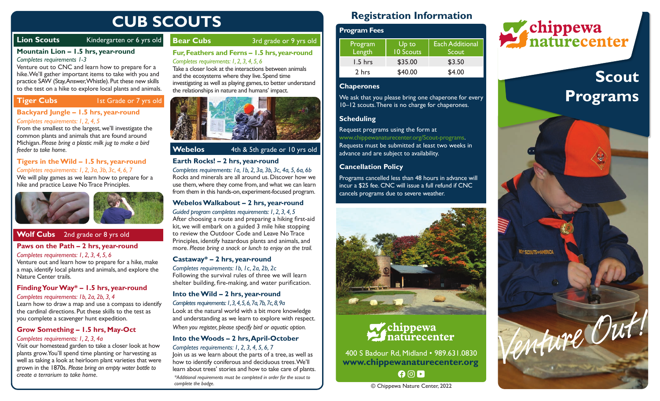# **CUB SCOUTS**

# **Lion Scouts** Kindergarten or 6 yrs old

#### **Mountain Lion – 1.5 hrs, year-round**  *Completes requirements 1-3*

Venture out to CNC and learn how to prepare for a hike. We'll gather important items to take with you and practice SAW (Stay, Answer, Whistle). Put these new skills to the test on a hike to explore local plants and animals.

# **Tiger Cubs** 1st Grade or 7 yrs old

#### **Backyard Jungle – 1.5 hrs, year-round**  *Completes requirements: 1, 2, 4, 5*

From the smallest to the largest, we'll investigate the common plants and animals that are found around Michigan. *Please bring a plastic milk jug to make a bird feeder to take home.*

#### **Tigers in the Wild – 1.5 hrs, year-round**  *Completes requirements: 1, 2, 3a, 3b, 3c, 4, 6, 7* We will play games as we learn how to prepare for a

hike and practice Leave No Trace Principles.



# **Wolf Cubs** 2nd grade or 8 yrs old

#### **Paws on the Path – 2 hrs, year-round**

*Completes requirements: 1, 2, 3, 4, 5, 6* Venture out and learn how to prepare for a hike, make a map, identify local plants and animals, and explore the Nature Center trails.

#### **Finding Your Way\* – 1.5 hrs, year-round**

*Completes requirements: 1b, 2a, 2b, 3, 4* Learn how to draw a map and use a compass to identify the cardinal directions. Put these skills to the test as you complete a scavenger hunt expedition.

## **Grow Something – 1.5 hrs, May-Oct**

#### *Completes requirements: 1, 2, 3, 4a*

Visit our homestead garden to take a closer look at how plants grow. You'll spend time planting or harvesting as well as taking a look at heirloom plant varieties that were grown in the 1870s. *Please bring an empty water bottle to* 

# **Bear Cubs** 3rd grade or 9 yrs old **Fur, Feathers and Ferns – 1.5 hrs, year-round**

#### *Completes requirements: 1, 2, 3, 4, 5, 6*

Take a closer look at the interactions between animals and the ecosystems where they live. Spend time investigating as well as playing games, to better understand the relationships in nature and humans' impact.



# **Webelos** 4th & 5th grade or 10 yrs old

#### **Earth Rocks! – 2 hrs, year-round**

*Completes requirements: 1a, 1b, 2, 3a, 3b, 3c, 4a, 5, 6a, 6b* Rocks and minerals are all around us. Discover how we use them, where they come from, and what we can learn from them in this hands-on, experiment-focused program.

#### **Webelos Walkabout – 2 hrs, year-round**  *Guided program completes requirements: 1, 2, 3, 4, 5*

After choosing a route and preparing a hiking first-aid kit, we will embark on a guided 3 mile hike stopping to review the Outdoor Code and Leave No Trace Principles, identify hazardous plants and animals, and more. *Please bring a snack or lunch to enjoy on the trail.*

#### **Castaway\* – 2 hrs, year-round**

*Completes requirements: 1b, 1c, 2a, 2b, 2c* Following the survival rules of three we will learn shelter building, fire-making, and water purification.

#### **Into the Wild – 2 hrs, year-round**  *Completes requirements: 1, 3, 4, 5, 6, 7a, 7b, 7c, 8, 9a*

Look at the natural world with a bit more knowledge and understanding as we learn to explore with respect. *When you register, please specify bird or aquatic option.*

# **Into the Woods – 2 hrs, April-October**

*create a terrarium to take home. \*Additional requirements must be completed in order for the scout to complete the badge. Completes requirements: 1, 2, 3, 4, 5, 6, 7* Join us as we learn about the parts of a tree, as well as how to identify coniferous and deciduous trees. We'll learn about trees' stories and how to take care of plants.

# **Registration Information**

| <b>Program Fees</b> |                    |                                 |
|---------------------|--------------------|---------------------------------|
| Program<br>Length   | Up to<br>10 Scouts | <b>Each Additional</b><br>Scout |
| 1.5 hrs             | \$35.00            | \$3.50                          |
| 2 hrs               | \$40.00            | \$4.00                          |

#### **Chaperones**

We ask that you please bring one chaperone for every 10–12 scouts. There is no charge for chaperones.

#### **Scheduling**

Request programs using the form at www.chippewanaturecenter.org/Scout-programs. Requests must be submitted at least two weeks in advance and are subject to availability.

### **Cancellation Policy**

Programs cancelled less than 48 hours in advance will incur a \$25 fee. CNC will issue a full refund if CNC cancels programs due to severe weather.



# Chippewa naturecenter

400 S Badour Rd, Midland • 989.631.0830 **www.chippewanaturecenter.org**   $00D$ 

© Chippewa Nature Center, 2022